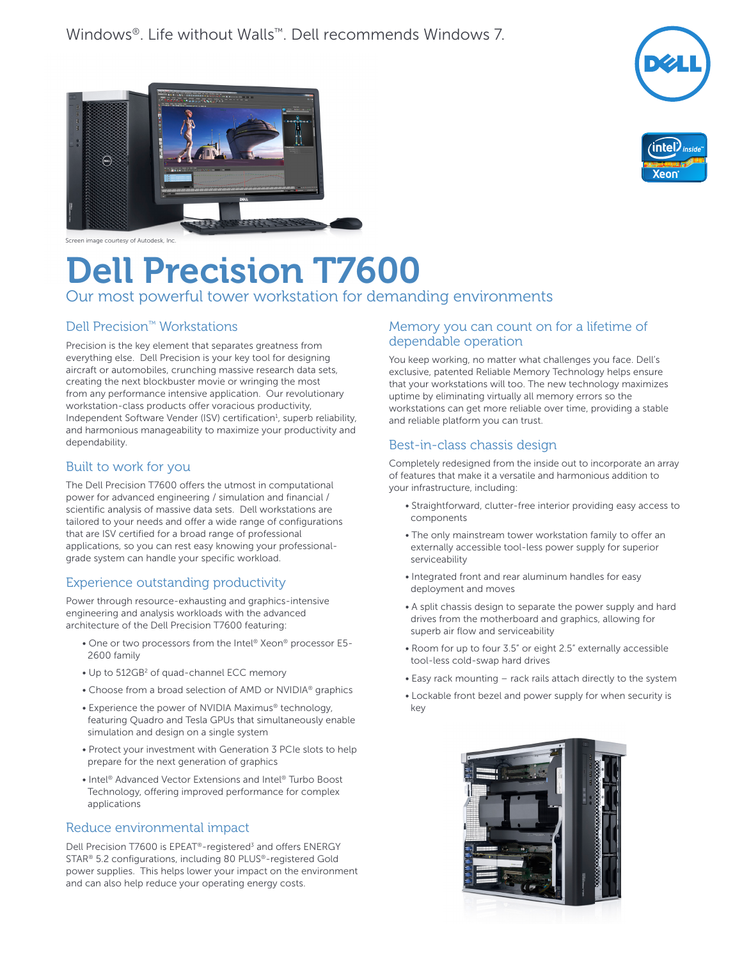



 $\widehat{(\infty)}$ 

Screen image courtesy of Autodesk, Inc.

# Dell Precision T7600

# Our most powerful tower workstation for demanding environments

# Dell Precision™ Workstations

Precision is the key element that separates greatness from everything else. Dell Precision is your key tool for designing aircraft or automobiles, crunching massive research data sets, creating the next blockbuster movie or wringing the most from any performance intensive application. Our revolutionary workstation-class products offer voracious productivity, Independent Software Vender (ISV) certification $<sup>1</sup>$ , superb reliability,</sup> and harmonious manageability to maximize your productivity and dependability.

## Built to work for you

The Dell Precision T7600 offers the utmost in computational power for advanced engineering / simulation and financial / scientific analysis of massive data sets. Dell workstations are tailored to your needs and offer a wide range of configurations that are ISV certified for a broad range of professional applications, so you can rest easy knowing your professionalgrade system can handle your specific workload.

# Experience outstanding productivity

Power through resource-exhausting and graphics-intensive engineering and analysis workloads with the advanced architecture of the Dell Precision T7600 featuring:

- One or two processors from the Intel® Xeon® processor E5- 2600 family
- Up to 512GB<sup>2</sup> of quad-channel ECC memory
- Choose from a broad selection of AMD or NVIDIA® graphics
- Experience the power of NVIDIA Maximus® technology, featuring Quadro and Tesla GPUs that simultaneously enable simulation and design on a single system
- Protect your investment with Generation 3 PCIe slots to help prepare for the next generation of graphics
- Intel® Advanced Vector Extensions and Intel® Turbo Boost Technology, offering improved performance for complex applications

## Reduce environmental impact

Dell Precision T7600 is EPEAT<sup>®</sup>-registered<sup>3</sup> and offers ENERGY STAR® 5.2 configurations, including 80 PLUS®-registered Gold power supplies. This helps lower your impact on the environment and can also help reduce your operating energy costs.

## Memory you can count on for a lifetime of dependable operation

You keep working, no matter what challenges you face. Dell's exclusive, patented Reliable Memory Technology helps ensure that your workstations will too. The new technology maximizes uptime by eliminating virtually all memory errors so the workstations can get more reliable over time, providing a stable and reliable platform you can trust.

## Best-in-class chassis design

Completely redesigned from the inside out to incorporate an array of features that make it a versatile and harmonious addition to your infrastructure, including:

- Straightforward, clutter-free interior providing easy access to components
- The only mainstream tower workstation family to offer an externally accessible tool-less power supply for superior serviceability
- Integrated front and rear aluminum handles for easy deployment and moves
- A split chassis design to separate the power supply and hard drives from the motherboard and graphics, allowing for superb air flow and serviceability
- Room for up to four 3.5" or eight 2.5" externally accessible tool-less cold-swap hard drives
- Easy rack mounting rack rails attach directly to the system
- Lockable front bezel and power supply for when security is key